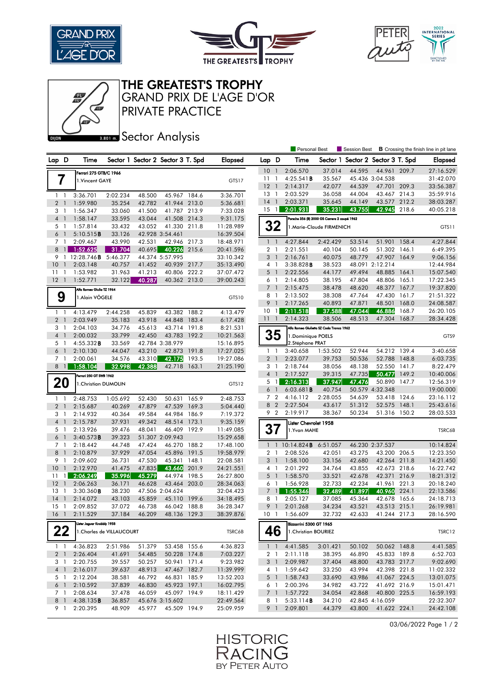





THE GREATEST'S TROPHY

PRIVATE PRACTICE GRAND PRIX DE L'AGE D'OR

## **BRONES** Sector Analysis

|                                                               |                           |                        |        |                                   |       |                        | Personal Best   |                       |                                                 |                          | <b>B</b> Crossing the finish line in pit lane<br>Session Best |                  |                |                        |
|---------------------------------------------------------------|---------------------------|------------------------|--------|-----------------------------------|-------|------------------------|-----------------|-----------------------|-------------------------------------------------|--------------------------|---------------------------------------------------------------|------------------|----------------|------------------------|
| Lap D                                                         | Time                      |                        |        | Sector 1 Sector 2 Sector 3 T. Spd |       | <b>Elapsed</b>         | Lap D           |                       | Time                                            |                          | Sector 1 Sector 2 Sector 3 T. Spd                             |                  |                | Elapsed                |
|                                                               |                           | Ferrari 275 GTB/C 1966 |        |                                   |       |                        | 10              | $\overline{1}$        | 2:06.570                                        | 37.014                   | 44.595                                                        | 44.961           | 209.7          | 27:16.529              |
| 7                                                             | 1. Vincent GAYE           |                        |        |                                   |       | GTS17                  | 11              | $\mathbf{1}$          | 4:25.541B                                       | 35.567                   |                                                               | 45.436 3:04.538  |                | 31:42.070              |
|                                                               |                           |                        |        |                                   |       |                        | $12-1$          |                       | 2:14.317                                        | 42.077                   | 44.539                                                        | 47.701           | 209.3          | 33:56.387              |
| $1\quad$                                                      | 3:36.701                  | 2:02.234               | 48.500 | 45.967 184.6                      |       | 3:36.701               | 13              | $\mathbf{1}$          | 2:03.529                                        | 36.058                   | 44.004                                                        | 43.467           | 214.3          | 35:59.916              |
| 2 <sub>1</sub>                                                | 1:59.980                  | 35.254                 | 42.782 | 41.944 213.0                      |       | 5:36.681               | 14              | $\overline{1}$        | 2:03.371                                        | 35.645                   | 44.149                                                        | 43.577 212.2     |                | 38:03.287              |
| 3 1                                                           | 1:56.347                  | 33.060                 | 41.500 | 41.787 213.9                      |       | 7:33.028               | 15              | $\overline{1}$        | 2:01.931                                        | 35.231                   | 43.755                                                        | 42.945           | 218.6          | 40:05.218              |
| $\overline{4}$<br>$\overline{1}$                              | 1:58.147                  | 33.595                 | 43.044 | 41.508 214.3                      |       | 9:31.175               |                 |                       | Porsche 356 (B) 2000 GS Carrera 2 coupé 1962    |                          |                                                               |                  |                |                        |
| 5 1                                                           | 1:57.814                  | 33.432                 | 43.052 | 41.330 211.8                      |       | 11:28.989              |                 | 32                    |                                                 | 1.Marie-Claude FIRMENICH |                                                               |                  |                | GTS11                  |
| 6<br>$\overline{1}$                                           | 5:10.515B                 | 33.126                 |        | 42.928 3:54.461                   |       | 16:39.504              |                 |                       |                                                 |                          |                                                               |                  |                |                        |
| 7 <sub>1</sub>                                                | 2:09.467                  | 43.990                 | 42.531 | 42.946 217.3                      |       | 18:48.971              |                 | $1\quad$              | 4:27.844                                        | 2:42.429                 | 53.514                                                        | 51.901           | 158.4          | 4:27.844               |
| $8 \mid 1$                                                    | 1:52.625                  | 31.704                 | 40.695 | 40.226 215.6                      |       | 20:41.596              | $\overline{2}$  | -1                    | 2:21.551                                        | 40.104                   | 50.145                                                        | 51.302           | 146.1          | 6:49.395               |
|                                                               | 9 1 12:28.746B            | 5:46.377               |        | 44.374 5:57.995                   |       | 33:10.342              |                 | 3 <sup>1</sup>        | 2:16.761                                        | 40.075                   | 48.779                                                        | 47.907           | 164.9          | 9:06.156               |
| 10<br>$\overline{1}$                                          | 2:03.148                  | 40.757                 | 41.452 | 40.939 217.7                      |       | 35:13.490              |                 | 4 1                   | 3:38.828B                                       | 38.523                   |                                                               | 48.091 2:12.214  |                | 12:44.984              |
| $11-1$                                                        | 1:53.982                  | 31.963                 | 41.213 | 40.806 222.2                      |       | 37:07.472              | 5               | $\overline{1}$        | 2:22.556                                        | 44.177                   | 49.494                                                        | 48.885           | 164.1          | 15:07.540              |
| $12-1$                                                        | 1:52.771                  | 32.122                 | 40.287 | 40.362 213.0                      |       | 39:00.243              |                 | 6 1                   | 2:14.805                                        | 38.195                   | 47.804                                                        | 48.806 165.1     |                | 17:22.345              |
|                                                               | Alfa Romeo Giulia TZ 1964 |                        |        |                                   |       |                        | $7\overline{ }$ | $\overline{1}$        | 2:15.475                                        | 38.478                   | 48.620                                                        | 48.377           | 167.7          | 19:37.820              |
| 9                                                             | 1.Alain VÖGELE            |                        |        |                                   |       | GTS10                  | 8               | $\overline{1}$        | 2:13.502                                        | 38.308                   | 47.764                                                        | 47.430           | 161.7          | 21:51.322              |
|                                                               |                           |                        |        |                                   |       |                        |                 | 9 <sub>1</sub>        | 2:17.265                                        | 40.893                   | 47.871                                                        | 48.501           | 168.0          | 24:08.587              |
| 1<br>$\overline{1}$                                           | 4:13.479                  | 2:44.258               | 45.839 | 43.382 188.2                      |       | 4:13.479               | 10              | $\mathbf{1}$          | 2:11.518                                        | 37.588                   | 47.044                                                        | 46.886           | 168.7          | 26:20.105              |
| 2 <sub>1</sub>                                                | 2:03.949                  | 35.183                 | 43.918 | 44.848 183.4                      |       | 6:17.428               | $11-1$          |                       | 2:14.323                                        | 38.506                   | 48.513                                                        | 47.304           | 168.7          | 28:34.428              |
| 3<br>- 1                                                      | 2:04.103                  | 34.776                 | 45.613 | 43.714 191.8                      |       | 8:21.531               |                 |                       | Alfa Romeo Giulietta SZ Coda Tronca 1962        |                          |                                                               |                  |                |                        |
| $4-1$                                                         | 2:00.032                  | 33.799                 | 42.450 | 43.783                            | 192.2 | 10:21.563              |                 | 35                    | 1. Dominique POELS                              |                          |                                                               |                  |                | GTS9                   |
| 5 1                                                           | 4:55.332B                 | 33.569                 |        | 42.784 3:38.979                   |       | 15:16.895              |                 |                       | 2.Stéphane PRAT                                 |                          |                                                               |                  |                |                        |
| 6<br>$\overline{1}$                                           | 2:10.130                  | 44.047                 | 43.210 | 42.873                            | 191.8 | 17:27.025              |                 | $1\quad$              | 3:40.658                                        | 1:53.502                 | 52.944                                                        | 54.212 139.4     |                | 3:40.658               |
| 7 <sub>1</sub>                                                | 2:00.061                  | 34.576                 | 43.310 | 42.175                            | 193.5 | 19:27.086              |                 | 2 <sub>1</sub>        | 2:23.077                                        | 39.753                   | 50.536                                                        | 52.788           | 148.8          | 6:03.735               |
| $8$ 1                                                         | 1:58.104                  | 32.998                 | 42.388 | 42.718 163.1                      |       | 21:25.190              |                 | 3 1                   | 2:18.744                                        | 38.056                   | 48.138                                                        | 52.550           | 141.7          | 8:22.479               |
|                                                               | Ferrari 250 GT SWB 1962   |                        |        |                                   |       |                        | $\overline{4}$  | $\overline{1}$        | 2:17.527                                        | 39.315                   | 47.735                                                        | 50.477           | 149.2          | 10:40.006              |
| 20                                                            |                           | 1. Christian DUMOLIN   |        |                                   |       | GTS12                  |                 | 5 <sub>1</sub>        | 2:16.313                                        | 37.947                   | 47.476                                                        | 50.890 147.7     |                | 12:56.319              |
|                                                               |                           |                        |        |                                   |       |                        | 6               | $\overline{1}$        | 6:03.681B                                       | 40.754                   |                                                               | 50.579 4:32.348  |                | 19:00.000              |
| $\mathbf{1}$<br>$\overline{1}$                                | 2:48.753                  | 1:05.692               | 52.430 | 50.631                            | 165.9 | 2:48.753               |                 | 7 <sub>2</sub>        | 4:16.112                                        | 2:28.055                 | 54.639                                                        | 53.418 124.6     |                | 23:16.112              |
| 2 <sub>1</sub>                                                | 2:15.687                  | 40.269                 | 47.879 | 47.539                            | 169.3 | 5:04.440               |                 | 8 2                   | 2:27.504                                        | 43.617                   | 51.312                                                        | 52.575           | 148.1          | 25:43.616              |
| 3<br>$\overline{1}$                                           | 2:14.932                  | 40.364                 | 49.584 | 44.984 186.9                      |       | 7:19.372               |                 | 9 2                   | 2:19.917                                        | 38.367                   | 50.234                                                        | 51.316           | 150.2          | 28:03.533              |
| $4-1$                                                         | 2:15.787                  | 37.931                 | 49.342 | 48.514 173.1                      |       | 9:35.159               |                 |                       | Lister Chevrolet 1958                           |                          |                                                               |                  |                |                        |
| 5 <sub>1</sub>                                                | 2:13.926                  | 39.476                 | 48.041 | 46.409 192.9                      |       | 11:49.085              |                 | 37                    | 1.Yvan MAHE                                     |                          |                                                               |                  |                | TSRC6B                 |
| 6<br>$\overline{1}$                                           | 3:40.573B                 | 39.323                 |        | 51.307 2:09.943                   |       | 15:29.658              |                 |                       |                                                 |                          |                                                               |                  |                |                        |
| 7 <sub>1</sub>                                                | 2:18.442                  | 44.748                 | 47.424 | 46.270 188.2                      |       | 17:48.100              |                 |                       | 1 1 10:14.824 <b>B</b> 6:51.057                 |                          |                                                               | 46.230 2:37.537  |                | 10:14.824              |
| 8<br>$\overline{1}$                                           | 2:10.879                  | 37.929                 | 47.054 | 45.896                            | 191.5 | 19:58.979              | 2               | $\overline{1}$        | 2:08.526                                        | 42.051                   | 43.275                                                        | 43.200 206.5     |                | 12:23.350              |
| 9<br>$\overline{1}$                                           | 2:09.602                  | 36.731                 | 47.530 | 45.341                            | 148.1 | 22:08.581              |                 | 3 <sup>1</sup>        | 1:58.100                                        | 33.156                   | 42.680                                                        | 42.264           | 211.8          | 14:21.450              |
| 10 <sup>°</sup><br>$\overline{1}$                             | 2:12.970<br>2:06.249      | 41.475<br>35.996       | 47.835 | 43.660                            | 201.9 | 24:21.551              |                 | 4 1                   | 2:01.292<br>1:58.570                            | 34.764                   | 43.855                                                        | 42.673 218.6     |                | 16:22.742              |
| 11<br>$\mathbf{1}$<br>12<br>$\overline{1}$                    | 2:06.263                  |                        | 45.279 | 44.974<br>43.464 203.0            | 198.5 | 26:27.800              |                 | 5 <sub>1</sub>        |                                                 | 33.521                   | 42.678<br>42.234                                              | 42.371<br>41.961 | 216.9          | 18:21.312              |
| 13<br>$\overline{1}$                                          | 3:30.360B                 | 36.171<br>38.230       | 46.628 | 47.506 2:04.624                   |       | 28:34.063<br>32:04.423 | $\overline{7}$  | 6 1<br>$\overline{1}$ | 1:56.928<br>1:55.346                            | 32.733<br>32.489         | 41.897                                                        | 40.960           | 221.3<br>224.1 | 20:18.240<br>22:13.586 |
| 14<br>$\mathbf{1}$                                            | 2:14.072                  | 43.103                 | 45.859 | 45.110 199.6                      |       | 34:18.495              | 8               | $\overline{1}$        | 2:05.127                                        | 37.085                   | 45.364                                                        | 42.678 165.6     |                | 24:18.713              |
| 15 1                                                          | 2:09.852                  | 37.072                 | 46.738 | 46.042 188.8                      |       | 36:28.347              | 9               | $\overline{1}$        | 2:01.268                                        | 34.234                   | 43.521                                                        | 43.513 215.1     |                | 26:19.981              |
| 16 <sub>1</sub>                                               | 2:11.529                  | 37.184                 | 46.209 | 48.136 129.3                      |       | 38:39.876              | 10 1            |                       | 1:56.609                                        | 32.732                   | 42.633                                                        | 41.244 217.3     |                | 28:16.590              |
|                                                               |                           |                        |        |                                   |       |                        |                 |                       |                                                 |                          |                                                               |                  |                |                        |
| Lister Jaguar Knobbly 1958<br>22<br>1. Charles de VILLAUCOURT |                           |                        |        |                                   |       |                        |                 | 46                    | Bizzarrini 5300 GT 1965<br>1. Christian BOURIEZ |                          |                                                               |                  |                |                        |
|                                                               |                           |                        |        |                                   |       | TSRC6B                 |                 |                       |                                                 |                          |                                                               |                  |                | TSRC12                 |
| $1\quad$                                                      | 4:36.823                  | 2:51.986               | 51.379 | 53.458 155.6                      |       | 4:36.823               |                 | $1\quad1$             | 4:41.585                                        | 3:01.421                 | 50.102                                                        | 50.062 148.8     |                | 4:41.585               |
| 2 <sup>1</sup>                                                | 2:26.404                  | 41.691                 | 54.485 | 50.228 174.8                      |       | 7:03.227               |                 | 2 1                   | 2:11.118                                        | 38.395                   | 46.890                                                        | 45.833 189.8     |                | 6:52.703               |
| 3 1                                                           | 2:20.755                  | 39.557                 | 50.257 | 50.941 171.4                      |       | 9:23.982               |                 | 3 <sup>1</sup>        | 2:09.987                                        | 37.404                   | 48.800                                                        | 43.783 217.7     |                | 9:02.690               |
| $4-1$                                                         | 2:16.017                  | 39.637                 | 48.913 | 47.467 182.7                      |       | 11:39.999              |                 | 4 1                   | 1:59.642                                        | 33.250                   | 43.994                                                        | 42.398 221.8     |                | 11:02.332              |
| 5 1                                                           | 2:12.204                  | 38.581                 | 46.792 | 46.831 185.9                      |       | 13:52.203              |                 | 5 1                   | 1:58.743                                        | 33.690                   | 43.986                                                        | 41.067 224.5     |                | 13:01.075              |
| 6 <sup>1</sup>                                                | 2:10.592                  | 37.839                 | 46.830 | 45.923 197.1                      |       | 16:02.795              |                 | 6 1                   | 2:00.396                                        | 34.982                   | 43.722                                                        | 41.692 216.9     |                | 15:01.471              |
| 7 1                                                           | 2:08.634                  | 37.478                 | 46.059 | 45.097 194.9                      |       | 18:11.429              |                 | 7 1                   | 1:57.722                                        | 34.054                   | 42.868                                                        | 40.800 225.5     |                | 16:59.193              |
| 8 1                                                           | 4:38.135B                 | 36.857                 |        | 45.676 3:15.602                   |       | 22:49.564              |                 | 81                    | 5:33.114B                                       | 34.210                   |                                                               | 42.845 4:16.059  |                | 22:32.307              |
| 9 1                                                           | 2:20.395                  | 48.909                 | 45.977 | 45.509 194.9                      |       | 25:09.959              |                 | 9 1                   | 2:09.801                                        | 44.379                   | 43.800                                                        | 41.622 224.1     |                | 24:42.108              |
|                                                               |                           |                        |        |                                   |       |                        |                 |                       |                                                 |                          |                                                               |                  |                |                        |

03/06/2022 Page 1 / 2